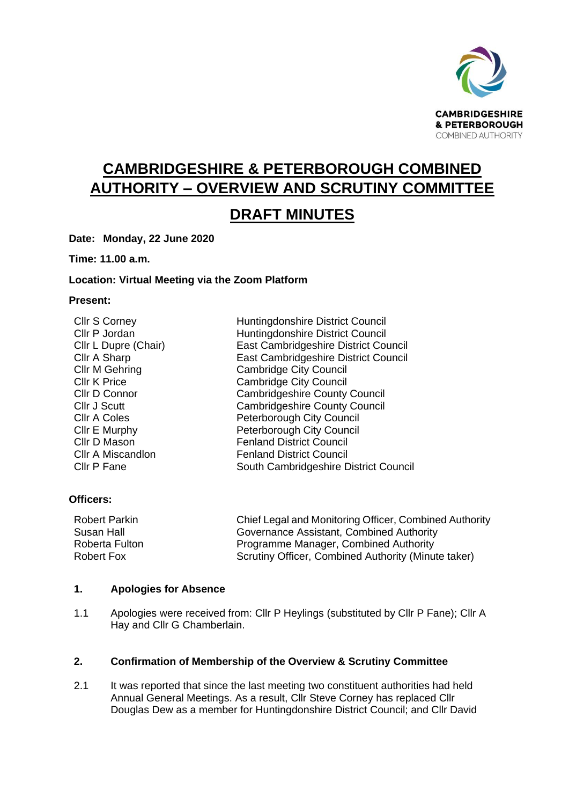

# **CAMBRIDGESHIRE & PETERBOROUGH COMBINED AUTHORITY – OVERVIEW AND SCRUTINY COMMITTEE**

# **DRAFT MINUTES**

**Date: Monday, 22 June 2020**

**Time: 11.00 a.m.**

### **Location: Virtual Meeting via the Zoom Platform**

### **Present:**

Huntingdonshire District Council ) East Cambridgeshire District Council East Cambridgeshire District Council **Cambridge City Council Cambridge City Council** Cambridgeshire County Council Cambridgeshire County Council Peterborough City Council Peterborough City Council **Fenland District Council Fenland District Council** South Cambridgeshire District Council

Huntingdonshire District Council

# **Officers:**

| <b>Robert Parkin</b> | Chief Legal and Monitoring Officer, Combined Authority |
|----------------------|--------------------------------------------------------|
| Susan Hall           | Governance Assistant, Combined Authority               |
| Roberta Fulton       | Programme Manager, Combined Authority                  |
| Robert Fox           | Scrutiny Officer, Combined Authority (Minute taker)    |

### **1. Apologies for Absence**

1.1 Apologies were received from: Cllr P Heylings (substituted by Cllr P Fane); Cllr A Hay and Cllr G Chamberlain.

### **2. Confirmation of Membership of the Overview & Scrutiny Committee**

2.1 It was reported that since the last meeting two constituent authorities had held Annual General Meetings. As a result, Cllr Steve Corney has replaced Cllr Douglas Dew as a member for Huntingdonshire District Council; and Cllr David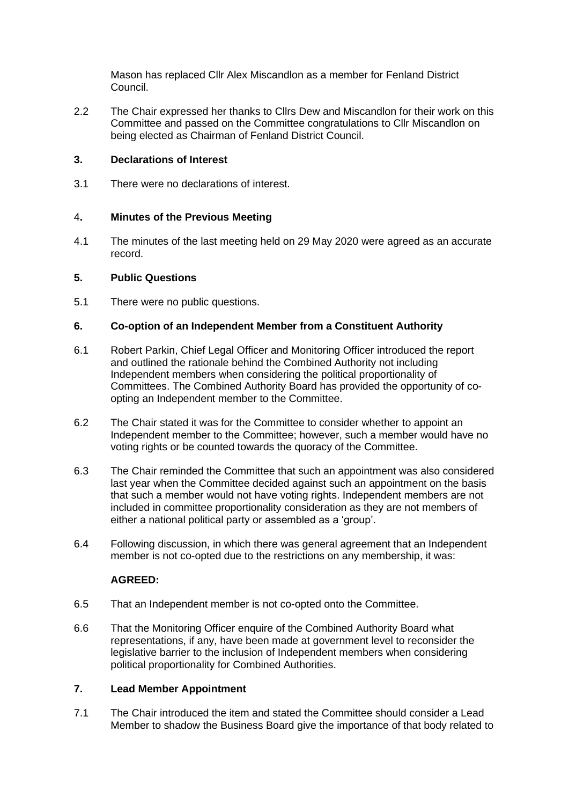Mason has replaced Cllr Alex Miscandlon as a member for Fenland District Council.

2.2 The Chair expressed her thanks to Cllrs Dew and Miscandlon for their work on this Committee and passed on the Committee congratulations to Cllr Miscandlon on being elected as Chairman of Fenland District Council.

### **3. Declarations of Interest**

3.1 There were no declarations of interest.

# 4**. Minutes of the Previous Meeting**

4.1 The minutes of the last meeting held on 29 May 2020 were agreed as an accurate record.

#### **5. Public Questions**

5.1 There were no public questions.

# **6. Co-option of an Independent Member from a Constituent Authority**

- 6.1 Robert Parkin, Chief Legal Officer and Monitoring Officer introduced the report and outlined the rationale behind the Combined Authority not including Independent members when considering the political proportionality of Committees. The Combined Authority Board has provided the opportunity of coopting an Independent member to the Committee.
- 6.2 The Chair stated it was for the Committee to consider whether to appoint an Independent member to the Committee; however, such a member would have no voting rights or be counted towards the quoracy of the Committee.
- 6.3 The Chair reminded the Committee that such an appointment was also considered last year when the Committee decided against such an appointment on the basis that such a member would not have voting rights. Independent members are not included in committee proportionality consideration as they are not members of either a national political party or assembled as a 'group'.
- 6.4 Following discussion, in which there was general agreement that an Independent member is not co-opted due to the restrictions on any membership, it was:

# **AGREED:**

- 6.5 That an Independent member is not co-opted onto the Committee.
- 6.6 That the Monitoring Officer enquire of the Combined Authority Board what representations, if any, have been made at government level to reconsider the legislative barrier to the inclusion of Independent members when considering political proportionality for Combined Authorities.

# **7. Lead Member Appointment**

7.1 The Chair introduced the item and stated the Committee should consider a Lead Member to shadow the Business Board give the importance of that body related to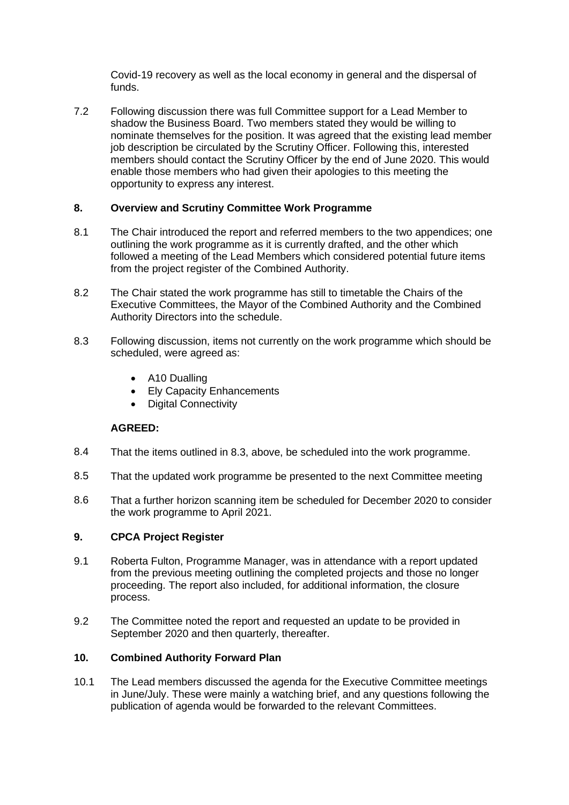Covid-19 recovery as well as the local economy in general and the dispersal of funds.

7.2 Following discussion there was full Committee support for a Lead Member to shadow the Business Board. Two members stated they would be willing to nominate themselves for the position. It was agreed that the existing lead member job description be circulated by the Scrutiny Officer. Following this, interested members should contact the Scrutiny Officer by the end of June 2020. This would enable those members who had given their apologies to this meeting the opportunity to express any interest.

### **8. Overview and Scrutiny Committee Work Programme**

- 8.1 The Chair introduced the report and referred members to the two appendices; one outlining the work programme as it is currently drafted, and the other which followed a meeting of the Lead Members which considered potential future items from the project register of the Combined Authority.
- 8.2 The Chair stated the work programme has still to timetable the Chairs of the Executive Committees, the Mayor of the Combined Authority and the Combined Authority Directors into the schedule.
- 8.3 Following discussion, items not currently on the work programme which should be scheduled, were agreed as:
	- A10 Dualling
	- Ely Capacity Enhancements
	- Digital Connectivity

# **AGREED:**

- 8.4 That the items outlined in 8.3, above, be scheduled into the work programme.
- 8.5 That the updated work programme be presented to the next Committee meeting
- 8.6 That a further horizon scanning item be scheduled for December 2020 to consider the work programme to April 2021.

### **9. CPCA Project Register**

- 9.1 Roberta Fulton, Programme Manager, was in attendance with a report updated from the previous meeting outlining the completed projects and those no longer proceeding. The report also included, for additional information, the closure process.
- 9.2 The Committee noted the report and requested an update to be provided in September 2020 and then quarterly, thereafter.

#### **10. Combined Authority Forward Plan**

10.1 The Lead members discussed the agenda for the Executive Committee meetings in June/July. These were mainly a watching brief, and any questions following the publication of agenda would be forwarded to the relevant Committees.